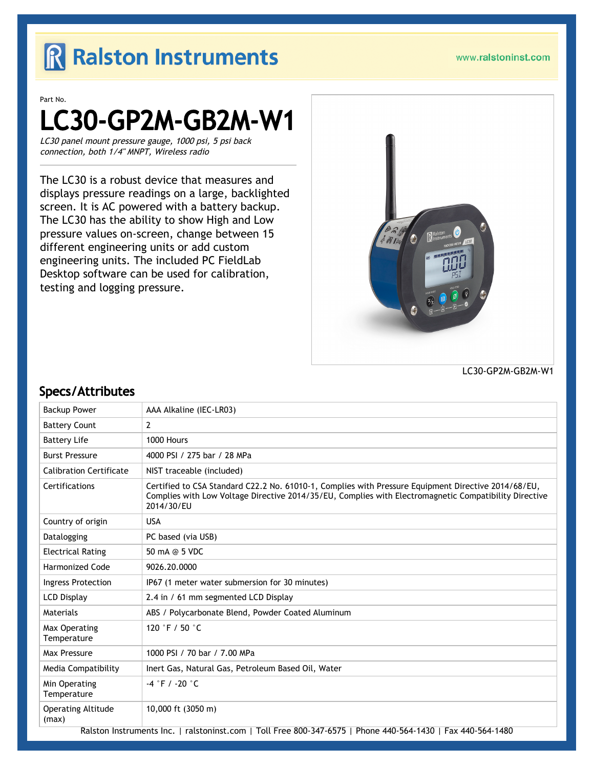## R Ralston Instruments

#### www.ralstoninst.com

#### Part No.

# LC30-GP2M-GB2M-W1

LC30 panel mount pressure gauge, 1000 psi, 5 psi back connection, both 1/4" MNPT, Wireless radio

The LC30 is a robust device that measures and displays pressure readings on a large, backlighted screen. It is AC powered with a battery backup. The LC30 has the ability to show High and Low pressure values on-screen, change between 15 different engineering units or add custom engineering units. The included PC FieldLab Desktop software can be used for calibration, testing and logging pressure.



LC30-GP2M-GB2M-W1

#### Specs/Attributes

| <b>Backup Power</b>                                                                                         | AAA Alkaline (IEC-LR03)                                                                                                                                                                                                    |  |
|-------------------------------------------------------------------------------------------------------------|----------------------------------------------------------------------------------------------------------------------------------------------------------------------------------------------------------------------------|--|
| <b>Battery Count</b>                                                                                        | $\overline{2}$                                                                                                                                                                                                             |  |
| <b>Battery Life</b>                                                                                         | 1000 Hours                                                                                                                                                                                                                 |  |
| <b>Burst Pressure</b>                                                                                       | 4000 PSI / 275 bar / 28 MPa                                                                                                                                                                                                |  |
| <b>Calibration Certificate</b>                                                                              | NIST traceable (included)                                                                                                                                                                                                  |  |
| Certifications                                                                                              | Certified to CSA Standard C22.2 No. 61010-1, Complies with Pressure Equipment Directive 2014/68/EU,<br>Complies with Low Voltage Directive 2014/35/EU, Complies with Electromagnetic Compatibility Directive<br>2014/30/EU |  |
| Country of origin                                                                                           | <b>USA</b>                                                                                                                                                                                                                 |  |
| Datalogging                                                                                                 | PC based (via USB)                                                                                                                                                                                                         |  |
| <b>Electrical Rating</b>                                                                                    | 50 mA @ 5 VDC                                                                                                                                                                                                              |  |
| <b>Harmonized Code</b>                                                                                      | 9026.20.0000                                                                                                                                                                                                               |  |
| <b>Ingress Protection</b>                                                                                   | IP67 (1 meter water submersion for 30 minutes)                                                                                                                                                                             |  |
| <b>LCD Display</b>                                                                                          | 2.4 in / 61 mm segmented LCD Display                                                                                                                                                                                       |  |
| Materials                                                                                                   | ABS / Polycarbonate Blend, Powder Coated Aluminum                                                                                                                                                                          |  |
| Max Operating<br>Temperature                                                                                | 120 °F / 50 °C                                                                                                                                                                                                             |  |
| Max Pressure                                                                                                | 1000 PSI / 70 bar / 7.00 MPa                                                                                                                                                                                               |  |
| Media Compatibility                                                                                         | Inert Gas, Natural Gas, Petroleum Based Oil, Water                                                                                                                                                                         |  |
| Min Operating<br>Temperature                                                                                | $-4$ °F / -20 °C                                                                                                                                                                                                           |  |
| <b>Operating Altitude</b><br>(max)                                                                          | 10,000 ft (3050 m)                                                                                                                                                                                                         |  |
| Ralston Instruments Inc.   ralstoninst.com   Toll Free 800-347-6575   Phone 440-564-1430   Fax 440-564-1480 |                                                                                                                                                                                                                            |  |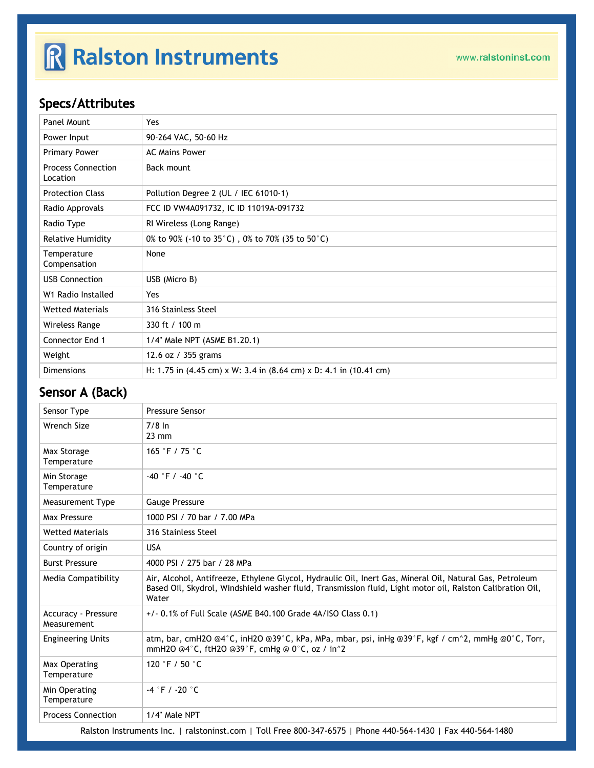# R Ralston Instruments

### Specs/Attributes

| Panel Mount                           | Yes                                                                   |
|---------------------------------------|-----------------------------------------------------------------------|
| Power Input                           | 90-264 VAC, 50-60 Hz                                                  |
| <b>Primary Power</b>                  | <b>AC Mains Power</b>                                                 |
| <b>Process Connection</b><br>Location | Back mount                                                            |
| <b>Protection Class</b>               | Pollution Degree 2 (UL / IEC 61010-1)                                 |
| Radio Approvals                       | FCC ID VW4A091732, IC ID 11019A-091732                                |
| Radio Type                            | RI Wireless (Long Range)                                              |
| <b>Relative Humidity</b>              | 0% to 90% (-10 to 35 $^{\circ}$ C), 0% to 70% (35 to 50 $^{\circ}$ C) |
| Temperature<br>Compensation           | None                                                                  |
| <b>USB Connection</b>                 | USB (Micro B)                                                         |
| W1 Radio Installed                    | Yes                                                                   |
| <b>Wetted Materials</b>               | 316 Stainless Steel                                                   |
| Wireless Range                        | 330 ft / 100 m                                                        |
| <b>Connector End 1</b>                | 1/4" Male NPT (ASME B1.20.1)                                          |
| Weight                                | 12.6 oz / 355 grams                                                   |
| <b>Dimensions</b>                     | H: 1.75 in (4.45 cm) x W: 3.4 in (8.64 cm) x D: 4.1 in (10.41 cm)     |

### Sensor A (Back)

| Sensor Type                               | <b>Pressure Sensor</b>                                                                                                                                                                                                          |  |
|-------------------------------------------|---------------------------------------------------------------------------------------------------------------------------------------------------------------------------------------------------------------------------------|--|
| Wrench Size                               | $7/8$ In<br>$23 \text{ mm}$                                                                                                                                                                                                     |  |
| Max Storage<br>Temperature                | 165 °F / 75 $^{\circ}$ C                                                                                                                                                                                                        |  |
| Min Storage<br>Temperature                | $-40$ °F / $-40$ °C                                                                                                                                                                                                             |  |
| <b>Measurement Type</b>                   | <b>Gauge Pressure</b>                                                                                                                                                                                                           |  |
| Max Pressure                              | 1000 PSI / 70 bar / 7.00 MPa                                                                                                                                                                                                    |  |
| <b>Wetted Materials</b>                   | 316 Stainless Steel                                                                                                                                                                                                             |  |
| Country of origin                         | <b>USA</b>                                                                                                                                                                                                                      |  |
| <b>Burst Pressure</b>                     | 4000 PSI / 275 bar / 28 MPa                                                                                                                                                                                                     |  |
| Media Compatibility                       | Air, Alcohol, Antifreeze, Ethylene Glycol, Hydraulic Oil, Inert Gas, Mineral Oil, Natural Gas, Petroleum<br>Based Oil, Skydrol, Windshield washer fluid, Transmission fluid, Light motor oil, Ralston Calibration Oil,<br>Water |  |
| <b>Accuracy - Pressure</b><br>Measurement | $+/-$ 0.1% of Full Scale (ASME B40.100 Grade 4A/ISO Class 0.1)                                                                                                                                                                  |  |
| <b>Engineering Units</b>                  | atm, bar, cmH2O @4°C, inH2O @39°C, kPa, MPa, mbar, psi, inHg @39°F, kgf / cm^2, mmHg @0°C, Torr,<br>mmH2O @4°C, ftH2O @39°F, cmHg @ 0°C, oz / in^2                                                                              |  |
| Max Operating<br>Temperature              | 120 °F / 50 $^{\circ}$ C                                                                                                                                                                                                        |  |
| Min Operating<br>Temperature              | $-4$ $\degree$ F / $-20$ $\degree$ C                                                                                                                                                                                            |  |
| <b>Process Connection</b>                 | 1/4" Male NPT                                                                                                                                                                                                                   |  |
|                                           |                                                                                                                                                                                                                                 |  |

Ralston Instruments Inc. | [ralstoninst.com](https://www.ralstoninst.com) | Toll Free 800-347-6575 | Phone 440-564-1430 | Fax 440-564-1480